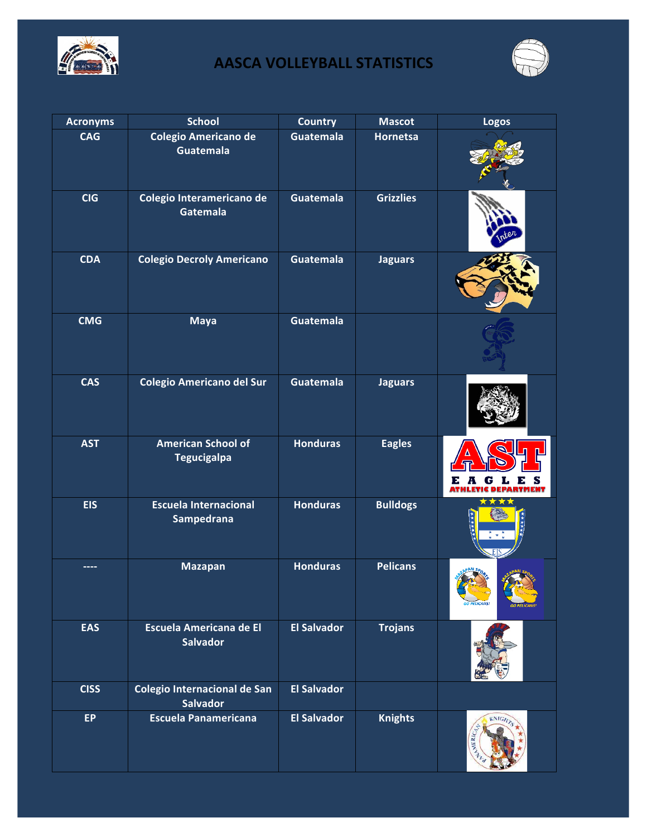



| <b>Acronyms</b> | <b>School</b>                                     | <b>Country</b>     | <b>Mascot</b>    | <b>Logos</b>              |
|-----------------|---------------------------------------------------|--------------------|------------------|---------------------------|
| <b>CAG</b>      | <b>Colegio Americano de</b><br><b>Guatemala</b>   | Guatemala          | <b>Hornetsa</b>  |                           |
| <b>CIG</b>      | Colegio Interamericano de<br>Gatemala             | Guatemala          | <b>Grizzlies</b> |                           |
| <b>CDA</b>      | <b>Colegio Decroly Americano</b>                  | Guatemala          | <b>Jaguars</b>   |                           |
| <b>CMG</b>      | <b>Maya</b>                                       | Guatemala          |                  |                           |
| <b>CAS</b>      | <b>Colegio Americano del Sur</b>                  | <b>Guatemala</b>   | <b>Jaguars</b>   |                           |
| <b>AST</b>      | <b>American School of</b><br><b>Tegucigalpa</b>   | <b>Honduras</b>    | <b>Eagles</b>    | G L<br>Е<br>Е             |
| <b>EIS</b>      | <b>Escuela Internacional</b><br><b>Sampedrana</b> | <b>Honduras</b>    | <b>Bulldogs</b>  | $\mathbf{R}^{\mathrm{d}}$ |
|                 | <b>Mazapan</b>                                    | <b>Honduras</b>    | <b>Pelicans</b>  | O PELICANS                |
| <b>EAS</b>      | <b>Escuela Americana de El</b><br><b>Salvador</b> | <b>El Salvador</b> | <b>Trojans</b>   |                           |
| <b>CISS</b>     | Colegio Internacional de San<br><b>Salvador</b>   | <b>El Salvador</b> |                  |                           |
| <b>EP</b>       | <b>Escuela Panamericana</b>                       | <b>El Salvador</b> | <b>Knights</b>   | <b>KNIGHTS</b><br>MERICA. |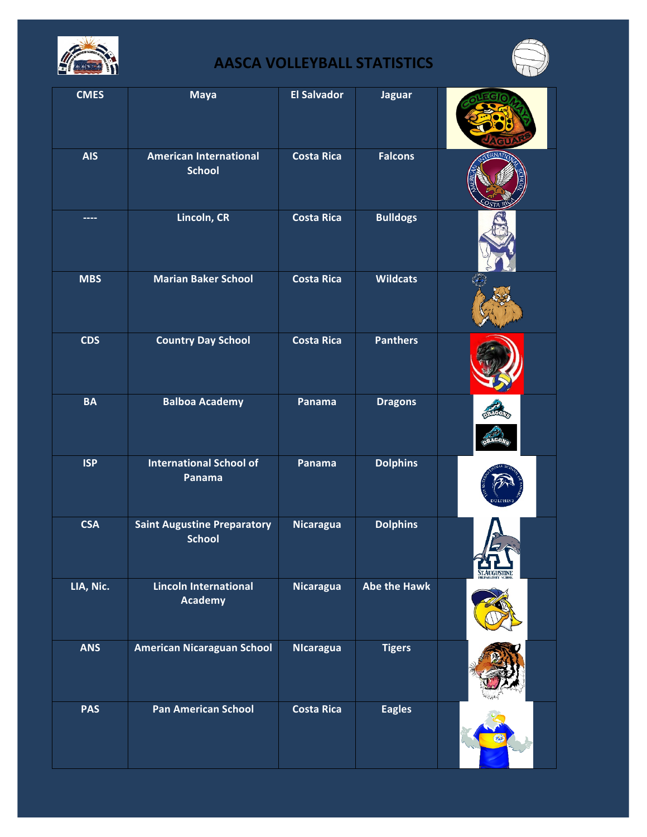



| <b>CMES</b> | <b>Maya</b>                                         | <b>El Salvador</b> | <b>Jaguar</b>       |             |
|-------------|-----------------------------------------------------|--------------------|---------------------|-------------|
| <b>AIS</b>  | <b>American International</b><br><b>School</b>      | <b>Costa Rica</b>  | <b>Falcons</b>      |             |
|             | Lincoln, CR                                         | <b>Costa Rica</b>  | <b>Bulldogs</b>     |             |
| <b>MBS</b>  | <b>Marian Baker School</b>                          | <b>Costa Rica</b>  | <b>Wildcats</b>     |             |
| <b>CDS</b>  | <b>Country Day School</b>                           | <b>Costa Rica</b>  | <b>Panthers</b>     |             |
| <b>BA</b>   | <b>Balboa Academy</b>                               | Panama             | <b>Dragons</b>      |             |
| <b>ISP</b>  | <b>International School of</b><br>Panama            | Panama             | <b>Dolphins</b>     |             |
| <b>CSA</b>  | <b>Saint Augustine Preparatory</b><br><b>School</b> | <b>Nicaragua</b>   | <b>Dolphins</b>     | STAUGUSTINE |
| LIA, Nic.   | <b>Lincoln International</b><br>Academy             | <b>Nicaragua</b>   | <b>Abe the Hawk</b> |             |
| <b>ANS</b>  | <b>American Nicaraguan School</b>                   | <b>NIcaragua</b>   | <b>Tigers</b>       |             |
| <b>PAS</b>  | <b>Pan American School</b>                          | <b>Costa Rica</b>  | <b>Eagles</b>       |             |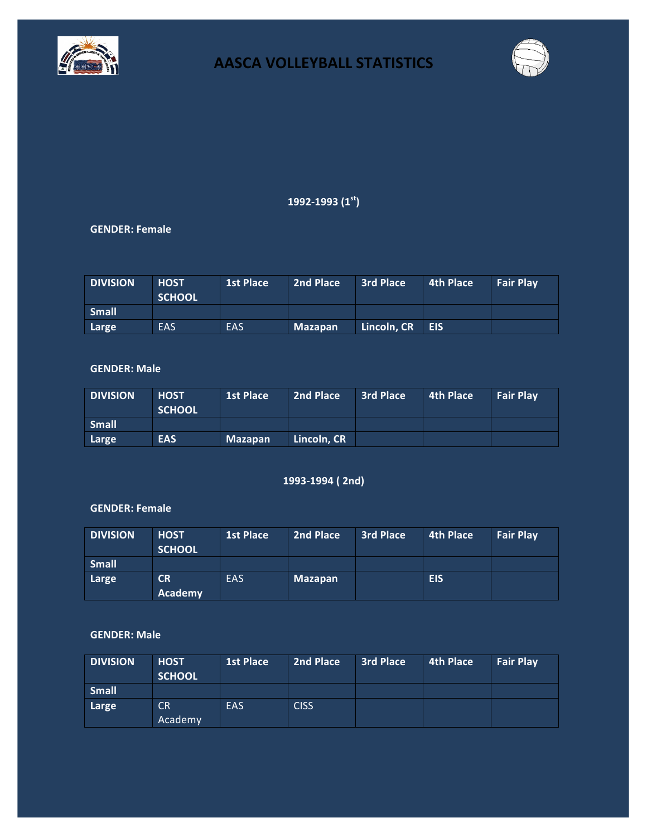



### **1992-1993 (1st)**

### **GENDER: Female**

| <b>DIVISION</b> | <b>HOST</b><br><b>SCHOOL</b> | <b>1st Place</b> | 2nd Place      | 3rd Place       | $\mid$ 4th Place $\mid$ | <b>Fair Play</b> |
|-----------------|------------------------------|------------------|----------------|-----------------|-------------------------|------------------|
| <b>Small</b>    |                              |                  |                |                 |                         |                  |
| Large           | <b>EAS</b>                   | <b>EAS</b>       | <b>Mazapan</b> | Lincoln, CR EIS |                         |                  |

### **GENDER: Male**

| <b>DIVISION</b> | <b>HOST</b><br><b>SCHOOL</b> | <b>1st Place</b> | 2nd Place   | <b>3rd Place</b> | 4th Place | <b>Fair Play</b> |
|-----------------|------------------------------|------------------|-------------|------------------|-----------|------------------|
| <b>Small</b>    |                              |                  |             |                  |           |                  |
| Large           | <b>EAS</b>                   | <b>Mazapan</b>   | Lincoln. CR |                  |           |                  |

### **1993-1994 ( 2nd)**

### **GENDER: Female**

| <b>DIVISION</b> | <b>HOST</b><br><b>SCHOOL</b> | <b>1st Place</b> | 2nd Place      | <b>3rd Place</b> | <b>4th Place</b> | <b>Fair Play</b> |
|-----------------|------------------------------|------------------|----------------|------------------|------------------|------------------|
| <b>Small</b>    |                              |                  |                |                  |                  |                  |
| Large           | CR<br>Academy                | EAS              | <b>Mazapan</b> |                  | <b>EIS</b>       |                  |

| <b>DIVISION</b> | <b>HOST</b><br><b>SCHOOL</b> | <b>1st Place</b> | 2nd Place   | <b>3rd Place</b> | <b>4th Place</b> | <b>Fair Play</b> |
|-----------------|------------------------------|------------------|-------------|------------------|------------------|------------------|
| <b>Small</b>    |                              |                  |             |                  |                  |                  |
| Large           | <b>CR</b><br>Academy         | EAS              | <b>CISS</b> |                  |                  |                  |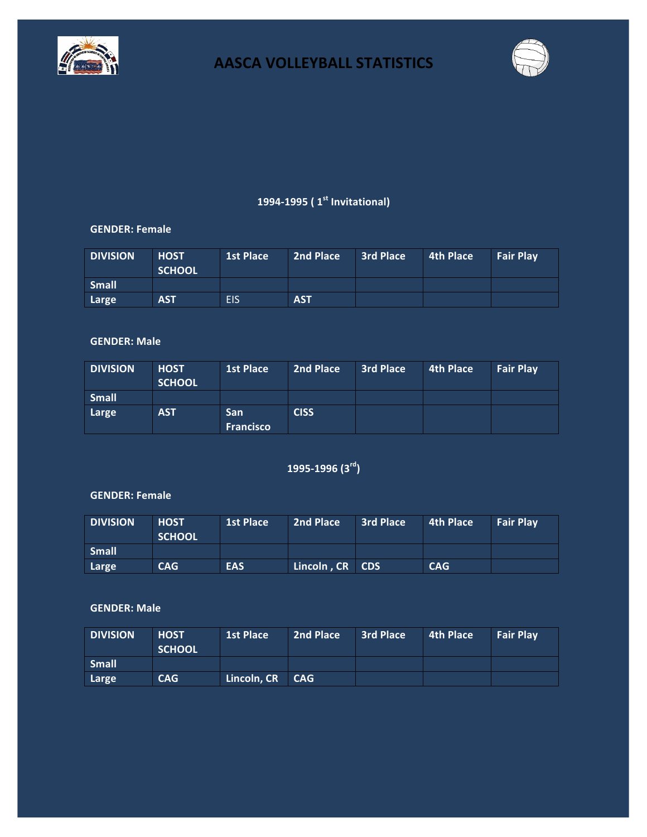



### **1994-1995 ( 1st Invitational)**

### **GENDER: Female**

| <b>DIVISION</b> | <b>HOST</b><br><b>SCHOOL</b> | <b>1st Place</b> | 2nd Place  | 3rd Place | 4th Place | <b>Fair Play</b> |
|-----------------|------------------------------|------------------|------------|-----------|-----------|------------------|
| <b>Small</b>    |                              |                  |            |           |           |                  |
| Large           | <b>AST</b>                   | <b>EIS</b>       | <b>AST</b> |           |           |                  |

#### **GENDER: Male**

| <b>DIVISION</b> | <b>HOST</b><br><b>SCHOOL</b> | <b>1st Place</b>               | 2nd Place   | <b>3rd Place</b> | 4th Place | <b>Fair Play</b> |
|-----------------|------------------------------|--------------------------------|-------------|------------------|-----------|------------------|
| <b>Small</b>    |                              |                                |             |                  |           |                  |
| Large           | <b>AST</b>                   | <b>San</b><br><b>Francisco</b> | <b>CISS</b> |                  |           |                  |

## **1995-1996 (3rd)**

### **GENDER: Female**

| <b>DIVISION</b> | <b>HOST</b><br><b>SCHOOL</b> | <b>1st Place</b> | 2nd Place       | 3rd Place | 4th Place | <b>Fair Play</b> |
|-----------------|------------------------------|------------------|-----------------|-----------|-----------|------------------|
| <b>Small</b>    |                              |                  |                 |           |           |                  |
| Large           | CAG                          | <b>EAS</b>       | Lincoln, CR CDS |           | CAG       |                  |

| <b>DIVISION</b> | <b>HOST</b><br><b>SCHOOL</b> | <b>1st Place</b> | 2nd Place | 3rd Place | 4th Place | <b>Fair Play</b> |
|-----------------|------------------------------|------------------|-----------|-----------|-----------|------------------|
| <b>Small</b>    |                              |                  |           |           |           |                  |
| Large           | <b>CAG</b>                   | Lincoln, CR CAG  |           |           |           |                  |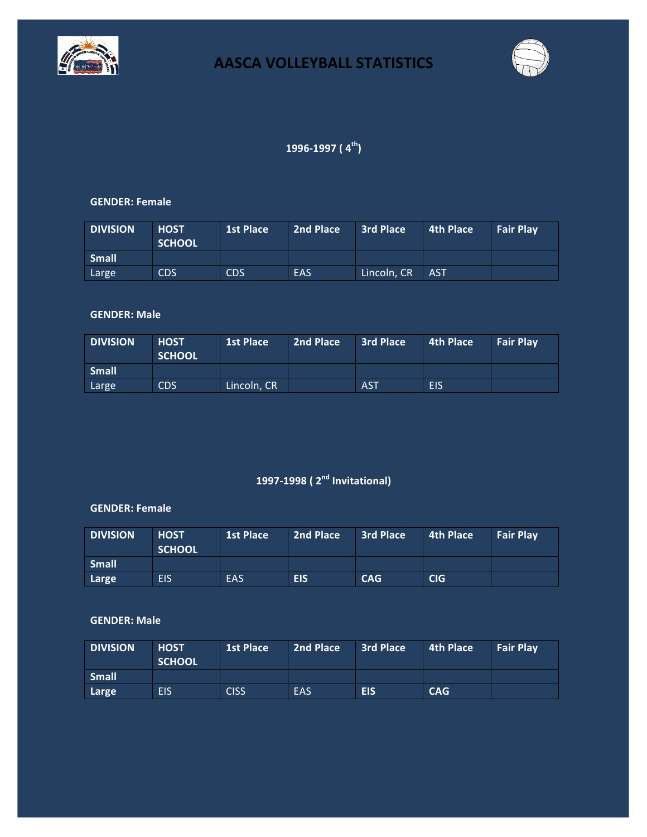



### **1996-1997 ( 4th)**

#### **GENDER: Female**

| <b>DIVISION</b> | <b>HOST</b><br><b>SCHOOL</b> | <b>1st Place</b> | 2nd Place | <b>3rd Place</b> | $\blacksquare$ 4th Place $\blacksquare$ | <b>Fair Play</b> |
|-----------------|------------------------------|------------------|-----------|------------------|-----------------------------------------|------------------|
| <b>Small</b>    |                              |                  |           |                  |                                         |                  |
| Large           | <b>CDS</b>                   | <b>CDS</b>       | EAS       | Lincoln, CR      | <b>AST</b>                              |                  |

### **GENDER: Male**

| <b>DIVISION</b> | <b>HOST</b><br><b>SCHOOL</b> | <b>1st Place</b> | 2nd Place | <b>3rd Place</b> | 4th Place | <b>Fair Play</b> |
|-----------------|------------------------------|------------------|-----------|------------------|-----------|------------------|
| <b>Small</b>    |                              |                  |           |                  |           |                  |
| Large           | <b>CDS</b>                   | Lincoln, CR      |           | <b>AST</b>       | EIS       |                  |

# **1997-1998 ( 2nd Invitational)**

#### **GENDER: Female**

| <b>DIVISION</b> | <b>HOST</b><br><b>SCHOOL</b> | <b>1st Place</b> | 2nd Place | <b>3rd Place</b> | 4th Place | <b>Fair Play</b> |
|-----------------|------------------------------|------------------|-----------|------------------|-----------|------------------|
| Small           |                              |                  |           |                  |           |                  |
| Large           | <b>EIS</b>                   | EAS              | EIS       | CAG              | CIG       |                  |

| <b>DIVISION</b> | <b>HOST</b><br><b>SCHOOL</b> | <b>1st Place</b> | 2nd Place | <b>3rd Place</b> | 4th Place | <b>Fair Play</b> |
|-----------------|------------------------------|------------------|-----------|------------------|-----------|------------------|
| <b>Small</b>    |                              |                  |           |                  |           |                  |
| Large           | EIS                          | <b>CISS</b>      | EAS       | <b>EIS</b>       | CAG       |                  |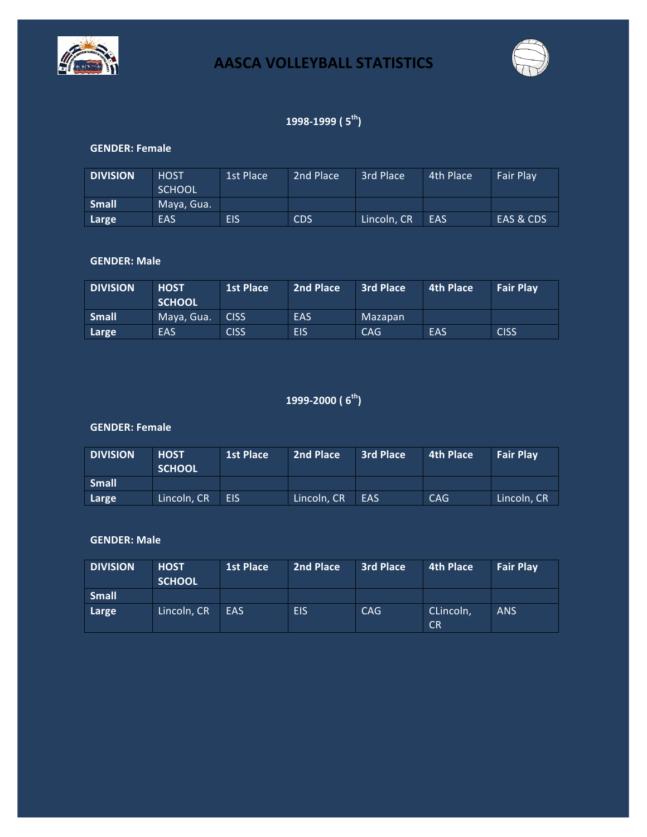



### **1998-1999 ( 5th)**

#### **GENDER: Female**

| <b>DIVISION</b> | <b>HOST</b><br><b>SCHOOL</b> | 1st Place  | 2nd Place  | 3rd Place   | 4th Place | <b>Fair Play</b> |
|-----------------|------------------------------|------------|------------|-------------|-----------|------------------|
| <b>Small</b>    | Maya, Gua.                   |            |            |             |           |                  |
| Large           | EAS                          | <b>EIS</b> | <b>CDS</b> | Lincoln, CR | EAS       | EAS & CDS        |

### **GENDER: Male**

| <b>DIVISION</b> | <b>HOST</b><br><b>SCHOOL</b> | 1st Place   | 2nd Place  | <b>3rd Place</b> | 4th Place | <b>Fair Play</b> |
|-----------------|------------------------------|-------------|------------|------------------|-----------|------------------|
| <b>Small</b>    | Maya, Gua.                   | <b>CISS</b> | <b>EAS</b> | Mazapan          |           |                  |
| Large           | EAS                          | <b>CISS</b> | EIS        | <b>CAG</b>       | EAS       | <b>CISS</b>      |

### **1999-2000 ( 6th)**

#### **GENDER: Female**

| <b>DIVISION</b> | <b>HOST</b><br><b>SCHOOL</b> | <b>1st Place</b> | 2nd Place   | <b>3rd Place</b> | 4th Place  | <b>Fair Play</b> |
|-----------------|------------------------------|------------------|-------------|------------------|------------|------------------|
| <b>Small</b>    |                              |                  |             |                  |            |                  |
| Large           | Lincoln, CR                  | <b>EIS</b>       | Lincoln, CR | EAS              | <b>CAG</b> | Lincoln, CR      |

| <b>DIVISION</b> | <b>HOST</b><br><b>SCHOOL</b> | <b>1st Place</b> | 2nd Place  | <b>3rd Place</b> | <b>4th Place</b>       | <b>Fair Play</b> |
|-----------------|------------------------------|------------------|------------|------------------|------------------------|------------------|
| <b>Small</b>    |                              |                  |            |                  |                        |                  |
| Large           | Lincoln, CR                  | EAS              | <b>EIS</b> | <b>CAG</b>       | CLincoln,<br><b>CR</b> | <b>ANS</b>       |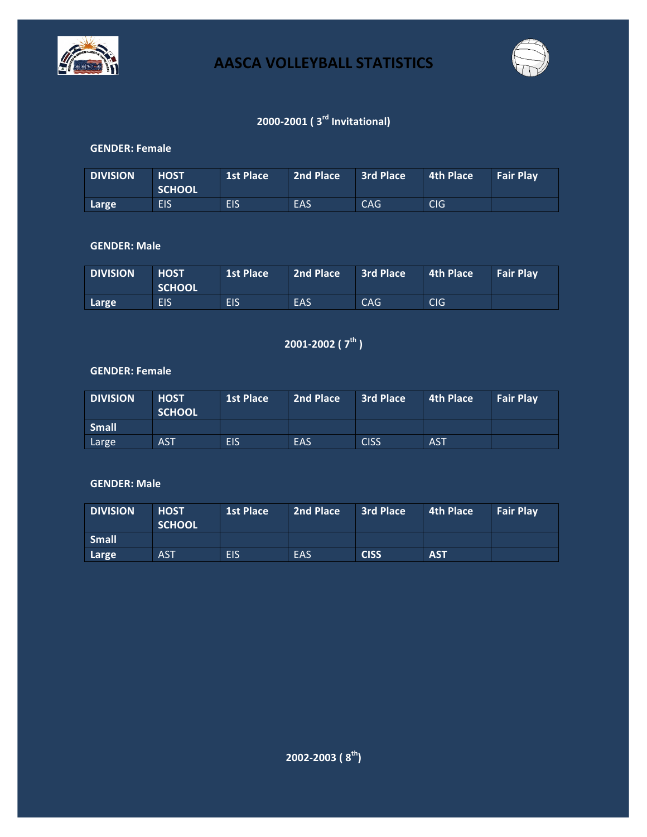



## **2000-2001 ( 3rd Invitational)**

### **GENDER: Female**

| <b>DIVISION</b> | <b>HOST</b><br><b>SCHOOL</b> | 1st Place  | 2nd Place  | 3rd Place | 4th Place | <b>Fair Play</b> |
|-----------------|------------------------------|------------|------------|-----------|-----------|------------------|
| Large           | <b>EIS</b>                   | <b>EIS</b> | <b>EAS</b> | CAG.      | CIG       |                  |

### **GENDER: Male**

| <b>DIVISION</b> | <b>HOST</b><br><b>SCHOOL</b> | 1st Place  | 2nd Place | 3rd Place | 4th Place  | <b>Fair Play</b> |
|-----------------|------------------------------|------------|-----------|-----------|------------|------------------|
| Large           | <b>EIS</b>                   | <b>EIS</b> | EAS       | CAG       | <b>CIG</b> |                  |

**2001-2002 ( 7th )**

### **GENDER: Female**

| <b>DIVISION</b> | <b>HOST</b><br><b>SCHOOL</b> | <b>1st Place</b> | 2nd Place | <b>3rd Place</b> | 4th Place  | <b>Fair Play</b> |
|-----------------|------------------------------|------------------|-----------|------------------|------------|------------------|
| <b>Small</b>    |                              |                  |           |                  |            |                  |
| Large           | <b>AST</b>                   | <b>EIS</b>       | EAS       | <b>CISS</b>      | <b>AST</b> |                  |

| <b>DIVISION</b> | <b>HOST</b><br><b>SCHOOL</b> | <b>1st Place</b> | 2nd Place | 3rd Place   | 4th Place  | <b>Fair Play</b> |
|-----------------|------------------------------|------------------|-----------|-------------|------------|------------------|
| <b>Small</b>    |                              |                  |           |             |            |                  |
| Large           | <b>AST</b>                   | EIS              | EAS       | <b>CISS</b> | <b>AST</b> |                  |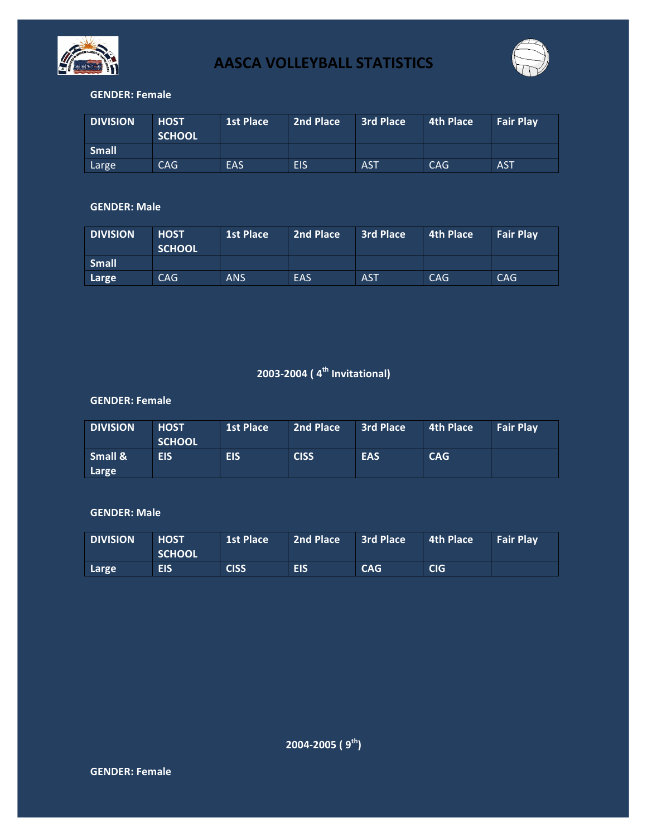



### **GENDER: Female**

| <b>DIVISION</b> | <b>HOST</b><br><b>SCHOOL</b> | <b>1st Place</b> | 2nd Place  | <b>3rd Place</b> | 4th Place | <b>Fair Play</b> |
|-----------------|------------------------------|------------------|------------|------------------|-----------|------------------|
| <b>Small</b>    |                              |                  |            |                  |           |                  |
| Large           | CAG.                         | <b>EAS</b>       | <b>EIS</b> | <b>AST</b>       | CAG       | <b>AST</b>       |

### **GENDER: Male**

| <b>DIVISION</b> | <b>HOST</b><br><b>SCHOOL</b> | <b>1st Place</b> | 2nd Place | <b>3rd Place</b> | 4th Place | <b>Fair Play</b> |
|-----------------|------------------------------|------------------|-----------|------------------|-----------|------------------|
| <b>Small</b>    |                              |                  |           |                  |           |                  |
| Large           | CAG.                         | <b>ANS</b>       | EAS       | <b>AST</b>       | CAG       | <b>CAG</b>       |

## **2003-2004 ( 4th Invitational)**

### **GENDER: Female**

| <b>DIVISION</b>  | <b>HOST</b><br><b>SCHOOL</b> | <b>1st Place</b> | 2nd Place   | <b>3rd Place</b> | 4th Place  | <b>Fair Play</b> |
|------------------|------------------------------|------------------|-------------|------------------|------------|------------------|
| Small &<br>Large | <b>EIS</b>                   | <b>EIS</b>       | <b>CISS</b> | <b>EAS</b>       | <b>CAG</b> |                  |

| <b>DIVISION</b> | <b>HOST</b><br><b>SCHOOL</b> | 1st Place   | 2nd Place  | 3rd Place  | 4th Place  | <b>Fair Play</b> |
|-----------------|------------------------------|-------------|------------|------------|------------|------------------|
| Large           | <b>EIS</b>                   | <b>CISS</b> | <b>EIS</b> | <b>CAG</b> | <b>CIG</b> |                  |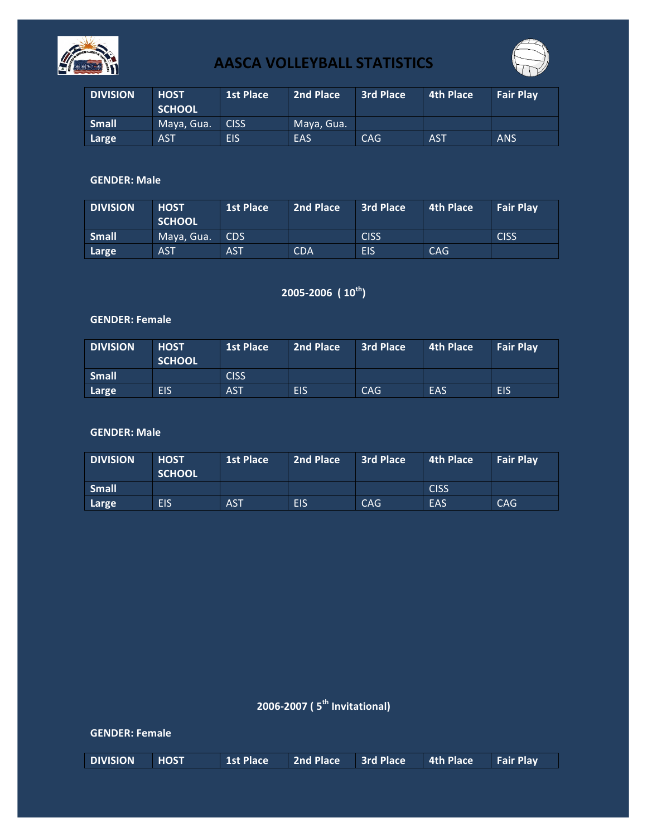



| <b>DIVISION</b> | <b>HOST</b><br><b>SCHOOL</b> | <b>1st Place</b> | 2nd Place  | <b>3rd Place</b> | 4th Place  | <b>Fair Play</b> |
|-----------------|------------------------------|------------------|------------|------------------|------------|------------------|
| <b>Small</b>    | Maya, Gua.                   | <b>CISS</b>      | Maya, Gua. |                  |            |                  |
| Large           | <b>AST</b>                   | EIS              | EAS        | <b>CAG</b>       | <b>AST</b> | <b>ANS</b>       |

### **GENDER: Male**

| <b>DIVISION</b> | <b>HOST</b><br><b>SCHOOL</b> | <b>1st Place</b> | 2nd Place  | <b>3rd Place</b> | 4th Place  | <b>Fair Play</b> |
|-----------------|------------------------------|------------------|------------|------------------|------------|------------------|
| <b>Small</b>    | Maya, Gua.                   | CDS.             |            | <b>CISS</b>      |            | <b>CISS</b>      |
| Large           | <b>AST</b>                   | <b>AST</b>       | <b>CDA</b> | EIS              | <b>CAG</b> |                  |

### **2005-2006 ( 10th)**

### **GENDER: Female**

| <b>DIVISION</b> | <b>HOST</b><br><b>SCHOOL</b> | <b>1st Place</b> | 2nd Place | <b>3rd Place</b> | 4th Place | <b>Fair Play</b> |
|-----------------|------------------------------|------------------|-----------|------------------|-----------|------------------|
| <b>Small</b>    |                              | <b>CISS</b>      |           |                  |           |                  |
| Large           | <b>EIS</b>                   | <b>AST</b>       | EIS       | <b>CAG</b>       | EAS       | <b>EIS</b>       |

### **GENDER: Male**

| <b>DIVISION</b> | <b>HOST</b><br><b>SCHOOL</b> | L1st Place | 2nd Place  | <b>3rd Place</b> | 4th Place   | <b>Fair Play</b> |
|-----------------|------------------------------|------------|------------|------------------|-------------|------------------|
| Small           |                              |            |            |                  | <b>CISS</b> |                  |
| Large           | <b>EIS</b>                   | <b>AST</b> | <b>EIS</b> | <b>CAG</b>       | EAS         | <b>CAG</b>       |

## **2006-2007 ( 5th Invitational)**

#### **GENDER: Female**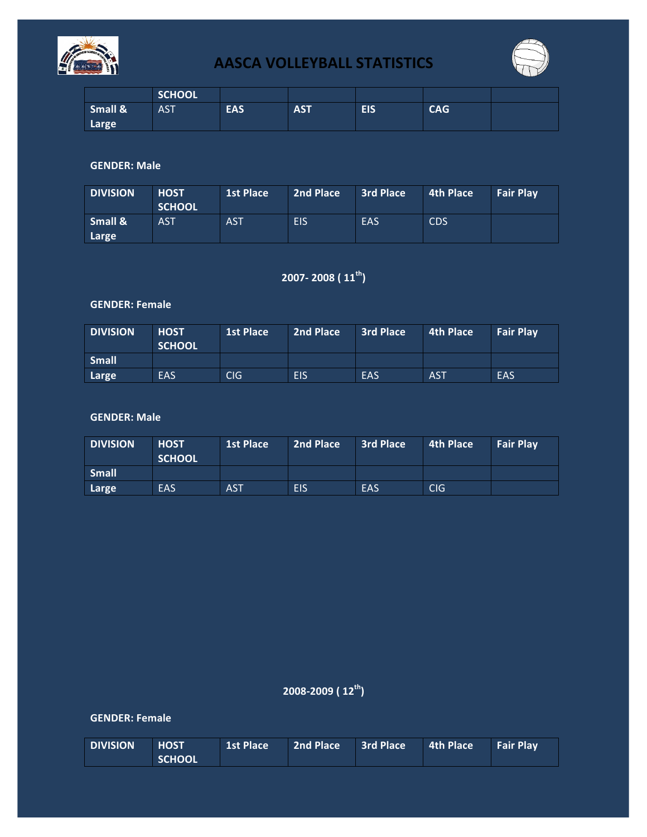



|                  | <b>SCHOOL</b> |            |            |            |            |  |
|------------------|---------------|------------|------------|------------|------------|--|
| Small &<br>Large | <b>AST</b>    | <b>EAS</b> | <b>AST</b> | <b>EIS</b> | <b>CAG</b> |  |

### **GENDER: Male**

| <b>DIVISION</b>  | <b>HOST</b><br><b>SCHOOL</b> | <b>1st Place</b> | 2nd Place  | <b>3rd Place</b> | 4th Place  | <b>Fair Play</b> |
|------------------|------------------------------|------------------|------------|------------------|------------|------------------|
| Small &<br>Large | <b>AST</b>                   | <b>AST</b>       | <b>EIS</b> | EAS              | <b>CDS</b> |                  |

## **2007- 2008 ( 11th)**

### **GENDER: Female**

| <b>DIVISION</b> | <b>HOST</b><br><b>SCHOOL</b> | <b>1st Place</b> | 2nd Place  | <b>3rd Place</b> | 4th Place  | <b>Fair Play</b> |
|-----------------|------------------------------|------------------|------------|------------------|------------|------------------|
| <b>Small</b>    |                              |                  |            |                  |            |                  |
| Large           | EAS                          | CIG              | <b>EIS</b> | EAS              | <b>AST</b> | EAS              |

### **GENDER: Male**

| <b>DIVISION</b> | <b>HOST</b><br><b>SCHOOL</b> | <b>1st Place</b> | 2nd Place  | <b>3rd Place</b> | 4th Place | <b>Fair Play</b> |
|-----------------|------------------------------|------------------|------------|------------------|-----------|------------------|
| <b>Small</b>    |                              |                  |            |                  |           |                  |
| Large           | EAS                          | <b>AST</b>       | <b>EIS</b> | EAS              | CIG       |                  |

2008-2009 (  $12^{th}$ )

### **GENDER: Female**

| <b>DIVISION</b> | <b>HOST</b>   |  | 1st Place 2nd Place 3rd Place 4th Place Fair Play |  |
|-----------------|---------------|--|---------------------------------------------------|--|
|                 | <b>SCHOOL</b> |  |                                                   |  |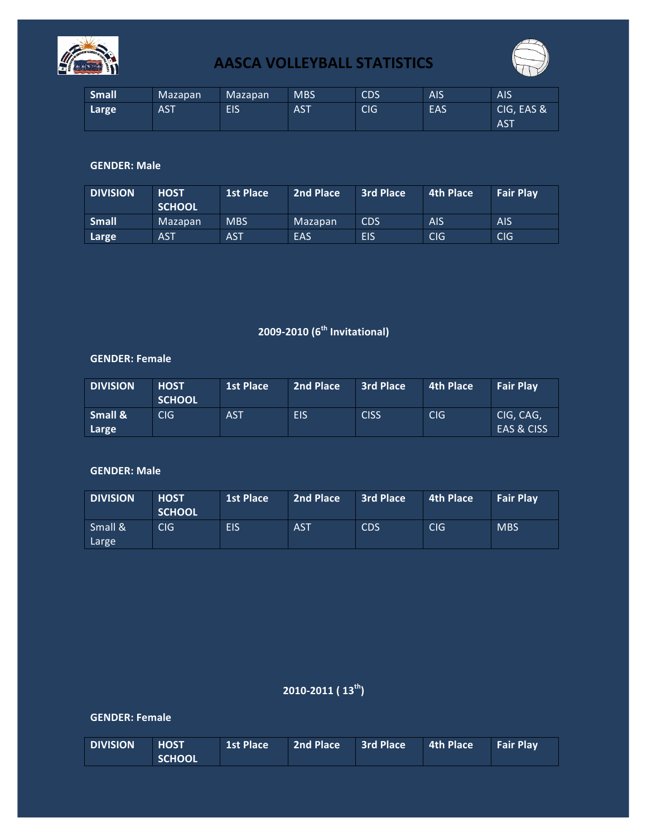



| <b>Small</b> | Mazapan    | Mazapan | <b>MBS</b> | <b>CDS</b> | AIS | <b>AIS</b>               |
|--------------|------------|---------|------------|------------|-----|--------------------------|
| Large        | <b>AST</b> | EIS     | <b>AST</b> | <b>CIG</b> | EAS | CIG, EAS &<br><b>AST</b> |

### **GENDER: Male**

| <b>DIVISION</b> | <b>HOST</b><br><b>SCHOOL</b> | <b>1st Place</b> | 2nd Place | <b>3rd Place</b> | 4th Place  | <b>Fair Play</b> |
|-----------------|------------------------------|------------------|-----------|------------------|------------|------------------|
| <b>Small</b>    | <b>Mazapan</b>               | <b>MBS</b>       | Mazapan   | <b>CDS</b>       | <b>AIS</b> | <b>AIS</b>       |
| Large           | <b>AST</b>                   | <b>AST</b>       | EAS       | <b>EIS</b>       | <b>CIG</b> | <b>CIG</b>       |

## **2009-2010 (6th Invitational)**

#### **GENDER: Female**

| <b>DIVISION</b>             | <b>HOST</b><br><b>SCHOOL</b> | <b>1st Place</b> | 2nd Place  | <b>3rd Place</b> | 4th Place | <b>Fair Play</b>        |
|-----------------------------|------------------------------|------------------|------------|------------------|-----------|-------------------------|
| <b>Small &amp;</b><br>Large | CIG.                         | <b>AST</b>       | <b>EIS</b> | <b>CISS</b>      | CIG       | CIG, CAG,<br>EAS & CISS |

### **GENDER: Male**

| <b>DIVISION</b>  | <b>HOST</b><br><b>SCHOOL</b> | <b>1st Place</b> | 2nd Place  | <b>3rd Place</b> | 4th Place  | <b>Fair Play</b> |
|------------------|------------------------------|------------------|------------|------------------|------------|------------------|
| Small &<br>Large | CIG                          | <b>EIS</b>       | <b>AST</b> | <b>CDS</b>       | <b>CIG</b> | <b>MBS</b>       |

## **2010-2011 ( 13th)**

### **GENDER: Female**

| <b>DIVISION</b> | <b>HOST</b>   |  | 1st Place 2nd Place 3rd Place 4th Place Fair Play |  |
|-----------------|---------------|--|---------------------------------------------------|--|
|                 | <b>SCHOOL</b> |  |                                                   |  |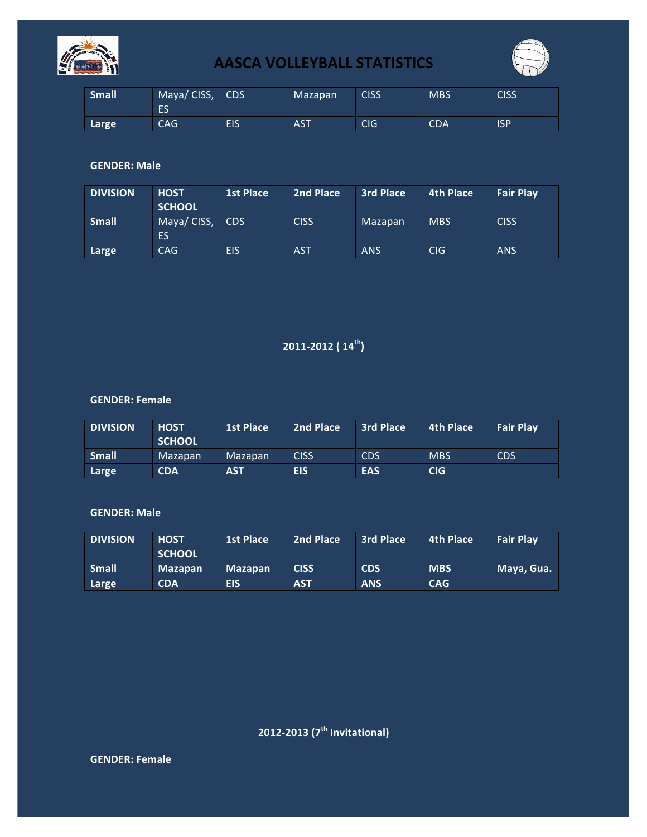



| <b>Small</b> | Maya/CISS,<br>E3 | <b>CDS</b> | Mazapan    | <b>CISS</b> | <b>MBS</b> | <b>CISS</b> |
|--------------|------------------|------------|------------|-------------|------------|-------------|
| Large        | <b>CAG</b>       | EIS        | <b>AST</b> | CIG         | <b>CDA</b> | <b>ISP</b>  |

### **GENDER: Male**

| <b>DIVISION</b> | <b>HOST</b><br><b>SCHOOL</b> | <b>1st Place</b> | 2nd Place   | <b>3rd Place</b> | <b>4th Place</b> | <b>Fair Play</b> |
|-----------------|------------------------------|------------------|-------------|------------------|------------------|------------------|
| <b>Small</b>    | Maya/CISS,<br>ES             | CDS              | <b>CISS</b> | Mazapan          | <b>MBS</b>       | <b>CISS</b>      |
| Large           | CAG.                         | EIS              | <b>AST</b>  | <b>ANS</b>       | C <sub>IG</sub>  | <b>ANS</b>       |

### **2011-2012** (  $14^{\text{th}}$ )

#### **GENDER: Female**

| <b>DIVISION</b> | <b>HOST</b><br><b>SCHOOL</b> | <b>1st Place</b> | 2nd Place   | <b>3rd Place</b> | 4th Place  | <b>Fair Play</b> |
|-----------------|------------------------------|------------------|-------------|------------------|------------|------------------|
| <b>Small</b>    | Mazapan                      | Mazapan          | <b>CISS</b> | <b>CDS</b>       | <b>MBS</b> | <b>CDS</b>       |
| Large           | <b>CDA</b>                   | <b>AST</b>       | <b>EIS</b>  | <b>EAS</b>       | <b>CIG</b> |                  |

#### **GENDER: Male**

| <b>DIVISION</b> | <b>HOST</b><br><b>SCHOOL</b> | <b>1st Place</b> | 2nd Place   | <b>3rd Place</b> | 4th Place  | <b>Fair Play</b> |
|-----------------|------------------------------|------------------|-------------|------------------|------------|------------------|
| <b>Small</b>    | <b>Mazapan</b>               | <b>Mazapan</b>   | <b>CISS</b> | <b>CDS</b>       | <b>MBS</b> | Maya, Gua.       |
| Large           | <b>CDA</b>                   | <b>EIS</b>       | <b>AST</b>  | <b>ANS</b>       | <b>CAG</b> |                  |

**2012-2013 (7th Invitational)**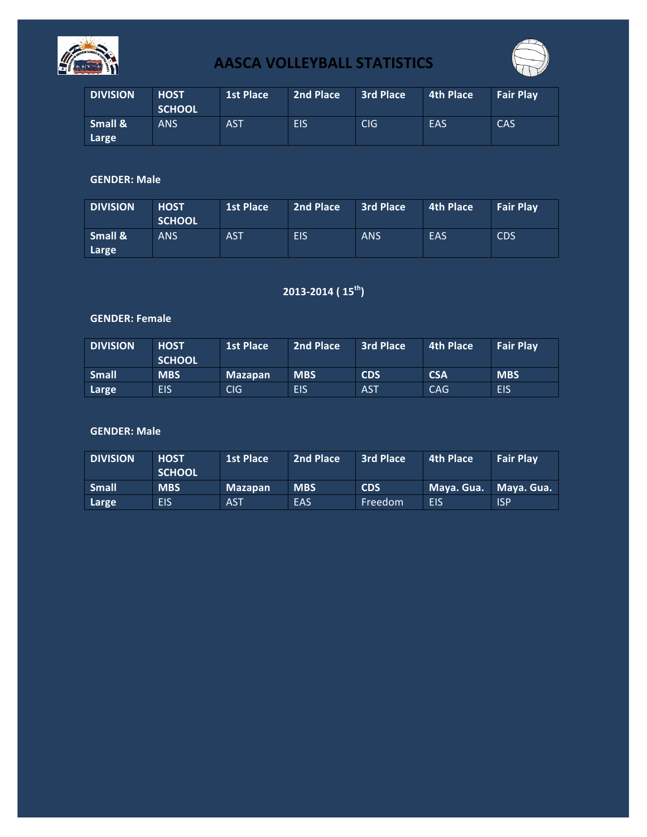



| <b>DIVISION</b>  | <b>HOST</b><br><b>SCHOOL</b> | 1st Place | 2nd Place  | <b>3rd Place</b> | 4th Place | <b>Fair Play</b> |
|------------------|------------------------------|-----------|------------|------------------|-----------|------------------|
| Small &<br>Large | <b>ANS</b>                   | AST       | <b>EIS</b> | <b>CIG</b>       | EAS       | CAS              |

### **GENDER: Male**

| <b>DIVISION</b>  | <b>HOST</b><br><b>SCHOOL</b> | <b>1st Place</b> | 2nd Place  | <b>3rd Place</b> | 4th Place | <b>Fair Play</b> |
|------------------|------------------------------|------------------|------------|------------------|-----------|------------------|
| Small &<br>Large | <b>ANS</b>                   | <b>AST</b>       | <b>EIS</b> | <b>ANS</b>       | EAS       | <b>CDS</b>       |

## **2013-2014 ( 15th)**

### **GENDER: Female**

| <b>DIVISION</b> | <b>HOST</b><br><b>SCHOOL</b> | <b>1st Place</b> | 2nd Place  | <b>3rd Place</b> | 4th Place  | <b>Fair Play</b> |
|-----------------|------------------------------|------------------|------------|------------------|------------|------------------|
| <b>Small</b>    | <b>MBS</b>                   | <b>Mazapan</b>   | <b>MBS</b> | <b>CDS</b>       | <b>CSA</b> | <b>MBS</b>       |
| Large           | EIS                          | <b>CIG</b>       | <b>EIS</b> | <b>AST</b>       | <b>CAG</b> | <b>EIS</b>       |

| <b>DIVISION</b> | <b>HOST</b><br><b>SCHOOL</b> | <b>1st Place</b> | 2nd Place  | 3rd Place  | 4th Place  | <b>Fair Play</b> |
|-----------------|------------------------------|------------------|------------|------------|------------|------------------|
| <b>Small</b>    | <b>MBS</b>                   | <b>Mazapan</b>   | <b>MBS</b> | <b>CDS</b> | Maya. Gua. | Mava. Gua.       |
| Large           | <b>EIS</b>                   | <b>AST</b>       | EAS        | Freedom    | EIS        | <b>ISP</b>       |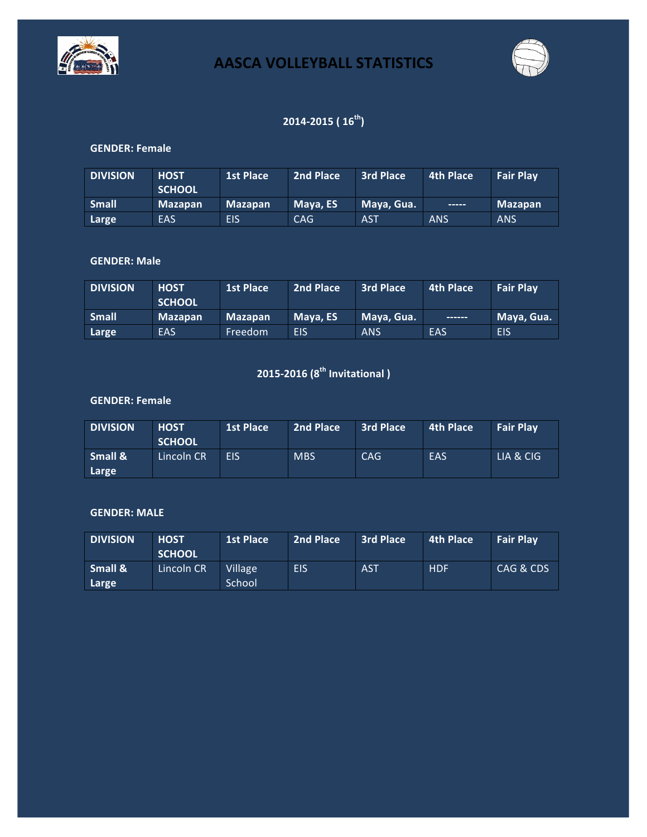



## **2014-2015 ( 16th)**

### **GENDER: Female**

| <b>DIVISION</b> | <b>HOST</b><br><b>SCHOOL</b> | <b>1st Place</b> | 2nd Place | 3rd Place  | 4th Place  | <b>Fair Play</b> |
|-----------------|------------------------------|------------------|-----------|------------|------------|------------------|
| <b>Small</b>    | <b>Mazapan</b>               | <b>Mazapan</b>   | Maya, ES  | Maya, Gua. |            | <b>Mazapan</b>   |
| Large           | EAS                          | <b>EIS</b>       | CAG       | <b>AST</b> | <b>ANS</b> | <b>ANS</b>       |

### **GENDER: Male**

| <b>DIVISION</b> | <b>HOST</b><br><b>SCHOOL</b> | <b>1st Place</b> | 2nd Place | 3rd Place  | 4th Place | <b>Fair Play</b> |
|-----------------|------------------------------|------------------|-----------|------------|-----------|------------------|
| <b>Small</b>    | <b>Mazapan</b>               | <b>Mazapan</b>   | Maya, ES  | Maya, Gua. |           | Maya, Gua.       |
| Large           | EAS                          | Freedom          | EIS       | <b>ANS</b> | EAS       | <b>EIS</b>       |

# **2015-2016 (8th Invitational )**

### **GENDER: Female**

| <b>DIVISION</b>  | <b>HOST</b><br><b>SCHOOL</b> | <b>1st Place</b> | 2nd Place  | <b>3rd Place</b> | 4th Place | <b>Fair Play</b> |
|------------------|------------------------------|------------------|------------|------------------|-----------|------------------|
| Small &<br>Large | Lincoln CR                   | <b>FIS</b>       | <b>MBS</b> | CAG              | EAS       | LIA & CIG        |

#### **GENDER: MALE**

| <b>DIVISION</b>  | <b>HOST</b><br><b>SCHOOL</b> | <b>1st Place</b>         | 2nd Place | 3rd Place  | 4th Place  | <b>Fair Play</b> |
|------------------|------------------------------|--------------------------|-----------|------------|------------|------------------|
| Small &<br>Large | Lincoln CR                   | <b>Village</b><br>School | EIS       | <b>AST</b> | <b>HDF</b> | CAG & CDS        |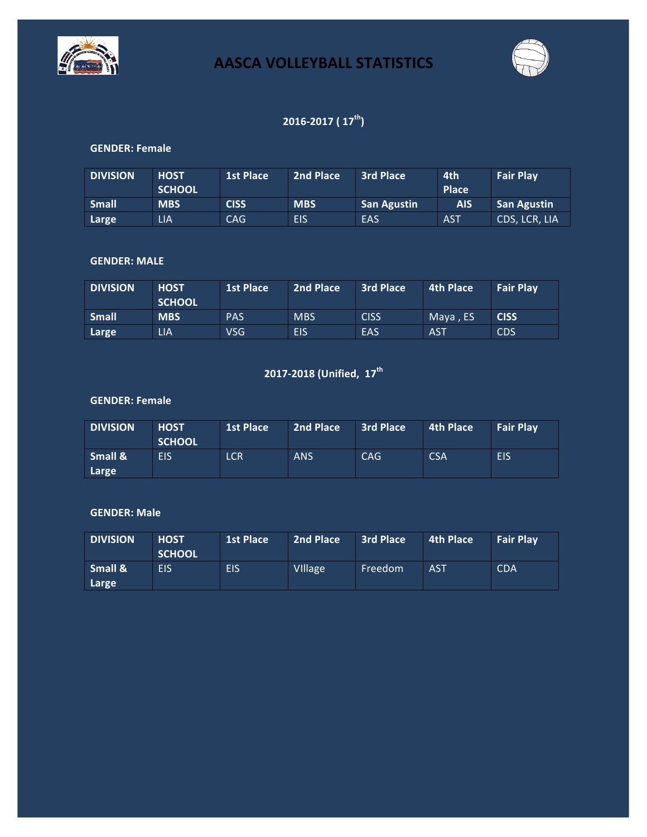



## **2016-2017** (  $17^{\text{th}}$ )

### **GENDER: Female**

| <b>DIVISION</b> | <b>HOST</b><br><b>SCHOOL</b> | <b>1st Place</b> | 2nd Place  | 3rd Place          | 4th<br><b>Place</b> | <b>Fair Play</b>   |
|-----------------|------------------------------|------------------|------------|--------------------|---------------------|--------------------|
| <b>Small</b>    | <b>MBS</b>                   | <b>CISS</b>      | <b>MBS</b> | <b>San Agustin</b> | <b>AIS</b>          | <b>San Agustin</b> |
| Large           | LIA                          | CAG              | <b>EIS</b> | EAS                | <b>AST</b>          | CDS, LCR, LIA      |

### **GENDER: MALE**

| <b>DIVISION</b> | <b>HOST</b><br><b>SCHOOL</b> | <b>1st Place</b> | 2nd Place  | <b>3rd Place</b> | 4th Place  | <b>Fair Play</b> |
|-----------------|------------------------------|------------------|------------|------------------|------------|------------------|
| <b>Small</b>    | <b>MBS</b>                   | <b>PAS</b>       | <b>MBS</b> | <b>CISS</b>      | Mava . ES  | <b>CISS</b>      |
| Large           | LIA                          | VSG.             | EIS        | EAS              | <b>AST</b> | <b>CDS</b>       |

# **2017-2018 (Unified, 17<sup>th</sup>**

### **GENDER: Female**

| <b>DIVISION</b>  | <b>HOST</b><br><b>SCHOOL</b> | <b>1st Place</b> | 2nd Place  | <b>3rd Place</b> | 4th Place  | <b>Fair Play</b> |
|------------------|------------------------------|------------------|------------|------------------|------------|------------------|
| Small &<br>Large | EIS                          | <b>LCR</b>       | <b>ANS</b> | <b>CAG</b>       | <b>CSA</b> | <b>EIS</b>       |

| <b>DIVISION</b>  | <b>HOST</b><br><b>SCHOOL</b> | <b>1st Place</b> | 2nd Place      | <b>3rd Place</b> | 4th Place  | <b>Fair Play</b> |
|------------------|------------------------------|------------------|----------------|------------------|------------|------------------|
| Small &<br>Large | EIS                          | <b>EIS</b>       | <b>VIIIage</b> | Freedom          | <b>AST</b> | <b>CDA</b>       |